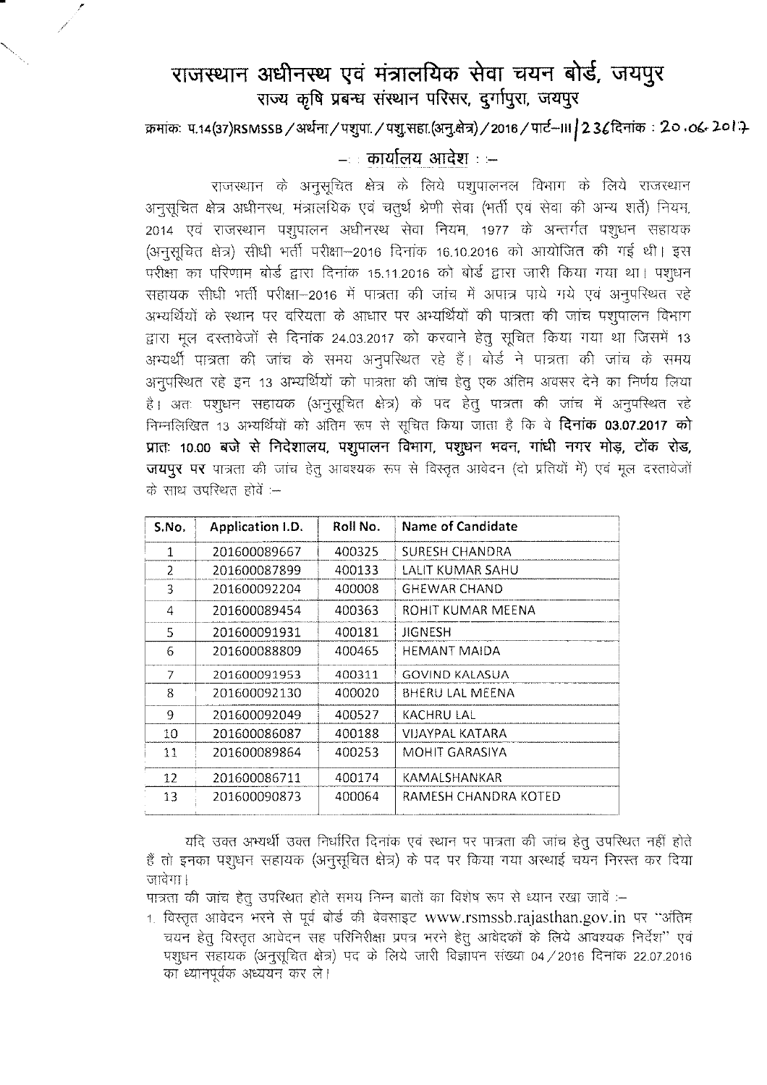## राजस्थान अधीनस्थ एवं मंत्रालयिक सेवा चयन बोर्ड, जयपुर **~ ~ ~ ~ qR'fi'<,** \$~lf9J"{I, **Gill9J"{**

~: tf.14(37)RSMSSB/~/~./t!11.~.(31-j.~)/2016/<ni-1I1/23t~ : **20.0'..***7-o/.}*

## **: ctilllh.'111 ~ : :-**

राजस्थान के अनुसूचित क्षेत्र के लिये पशुपालनल विभाग के लिये राजस्थान अनुसूचित क्षेत्र अधीनस्थ, मंत्रालयिक एवं चतूर्थ श्रेणी सेवा (भर्ती एवं सेवा की अन्य शर्ते) नियम, 2014 एवं राजस्थान पशुपालन अधीनस्थ सेवा नियम, 1977 के अन्तर्गत पशुधन सहायक (अनुसूचित क्षेत्र) सीधी भर्ती परीक्षा-2016 दिनांक 16.10.2016 को आयोजित की गई थी। इस परीक्षा का परिणाम बोर्ड द्वारा दिनांक 15.11.2016 को बोर्ड द्वारा जारी किया गया था। पशुधन सहायक सीधी भर्ती परीक्षा–2016 में पात्रता की जांच में अपात्र पाये गये एवं अनुपरिथत रहे अभ्यर्थियों के स्थान पर वरियता के आधार पर अभ्यर्थियों की पात्रता की जांच पशुपालन विभाग द्वारा मूल दस्तावेजों से दिनांक 24.03.2017 को करवाने हेतु सूचित किया गया था जिसमें 13 अभ्यर्थी पात्रता की जांच के समय अनुपरिथत रहे हैं। बोर्ड ने पात्रता की जांच के समय अनुपरिथत रहे इन 13 अभ्यर्थियों को पात्रता की जांच हेतू एक अंतिम अवसर देने का निर्णय लिया है। अतः पश्**धन सहायक (अनुसूचित क्षेत्र) के पद हेत्** पात्रता की जांच में अनुपरिथत रहे निम्नलिखित 13 अभ्यर्थियों को अंतिम रूप से सूचित किया जाता है कि वे **दिनांक 03.07.2017 को >m1: 10.00 <sup>~</sup> <sup>~</sup>** f.1~~II<.'1ll.**4!{!41<.'1'i ~. <sup>~</sup> 11CA'. <sup>~</sup> <sup>~</sup> ~, cJq;- m,** जयपुर पर पात्रता की जांच हेत् आवश्यक रूप से विस्तृत आवेदन (दो प्रतियों में) एवं मूल दस्तावेजों  $\vec{a}$  साथ उपस्थित होतें :—

| S.No. | Application I.D. | Roll No. | Name of Candidate    |
|-------|------------------|----------|----------------------|
| 1     | 201600089667     | 400325   | SURESH CHANDRA       |
| 2     | 201600087899     | 400133   | LALIT KUMAR SAHU     |
| 3     | 201600092204     | 400008   | GHEWAR CHAND         |
| 4     | 201600089454     | 400363   | ROHIT KUMAR MEENA    |
| 5     | 201600091931     | 400181   | JIGNESH              |
| 6     | 201600088809     | 400465   | HEMANT MAIDA         |
| 7     | 201600091953     | 400311   | GOVIND KALASUA       |
| 8     | 201600092130     | 400020   | BHERU LAL MEENA      |
| 9     | 201600092049     | 400527   | KACHRU LAL           |
| 10    | 201600086087     | 400188   | VIJAYPAL KATARA      |
| 11    | 201600089864     | 400253   | MOHIT GARASIYA       |
| 12    | 201600086711     | 400174   | KAMALSHANKAR         |
| 13    | 201600090873     | 400064   | RAMESH CHANDRA KOTED |

यदि उक्त अभ्यर्थी उक्त निर्धारित दिनांक एवं स्थान पर पात्रता की जांच हेतु उपस्थित नहीं होते हैं तो इनका पशुधन सहायक (अनुसूचित क्षेत्र) के पद पर किया गया अस्थाई चयन निरस्त कर दिया  $\overrightarrow{u}$ जावेगा ।

पात्रता की जांच हेतु उपरिथत होते समय निम्न बातों का विशेष रूप से ध्यान रखा जावें :-

1. विस्तृत आवेदन भरने से पूर्व बोर्ड की बेवसाइट [www.rsmssb.rajasthan.gov.in](http://www.rsmssb.rajasthan.gov.in) पर "अंतिम चयन हेत् विस्तृत आवेदन सह परिनिरीक्षा प्रपत्र भरने हेत् आवेदकों के लिये आवश्यक निर्देश'' एवं पशुधन सहायक (अनुसूचित क्षेत्र) पद के लिये जारी विज्ञापन संख्या 04 / 2016 दिनांक 22.07.2016 का ध्यानपूर्वक अध्ययन कर ले।